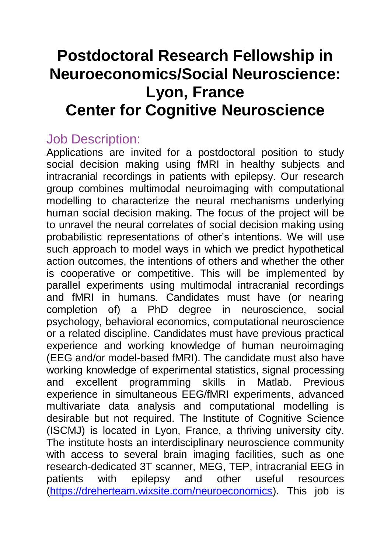## **Postdoctoral Research Fellowship in Neuroeconomics/Social Neuroscience: Lyon, France Center for Cognitive Neuroscience**

## Job Description:

Applications are invited for a postdoctoral position to study social decision making using fMRI in healthy subjects and intracranial recordings in patients with epilepsy. Our research group combines multimodal neuroimaging with computational modelling to characterize the neural mechanisms underlying human social decision making. The focus of the project will be to unravel the neural correlates of social decision making using probabilistic representations of other's intentions. We will use such approach to model ways in which we predict hypothetical action outcomes, the intentions of others and whether the other is cooperative or competitive. This will be implemented by parallel experiments using multimodal intracranial recordings and fMRI in humans. Candidates must have (or nearing completion of) a PhD degree in neuroscience, social psychology, behavioral economics, computational neuroscience or a related discipline. Candidates must have previous practical experience and working knowledge of human neuroimaging (EEG and/or model-based fMRI). The candidate must also have working knowledge of experimental statistics, signal processing and excellent programming skills in Matlab. Previous experience in simultaneous EEG/fMRI experiments, advanced multivariate data analysis and computational modelling is desirable but not required. The Institute of Cognitive Science (ISCMJ) is located in Lyon, France, a thriving university city. The institute hosts an interdisciplinary neuroscience community with access to several brain imaging facilities, such as one research-dedicated 3T scanner, MEG, TEP, intracranial EEG in patients with epilepsy and other useful resources [\(https://dreherteam.wixsite.com/neuroeconomics\)](https://dreherteam.wixsite.com/neuroeconomics). This job is